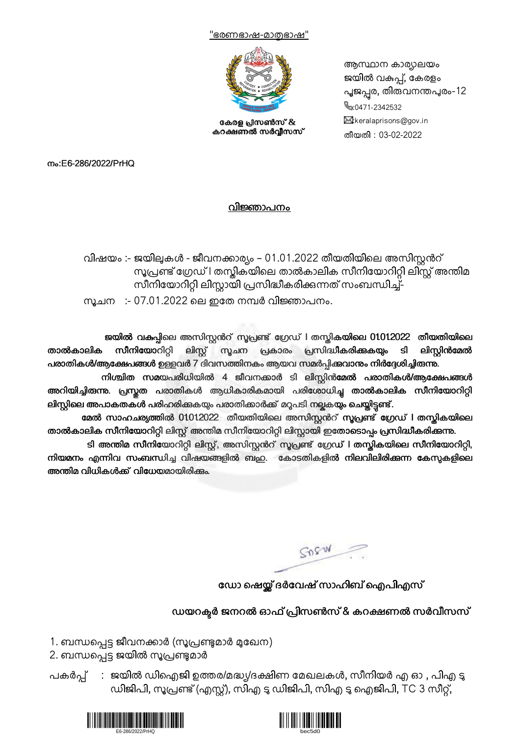



കേരള പ്രസൺസ് & കറക്ഷണൽ സർവ്വീസസ്

ആസ്ഥാന കാര്യലയം ജയിൽ വകുപ്പ്, കേരളം പൂജപ്പര, തിരുവനന്തപുരം-12  $\frac{1}{2}$ :0471-2342532  $\boxtimes$ :keralaprisons@gov.in തീയതി : 03-02-2022

നം:E6-286/2022/PrHQ

## വിജ്ഞാപനം

വിഷയം :- ജയിലുകൾ - ജീവനക്കാര്യം – 01.01.2022 തീയതിയിലെ അസിസ്റ്റൻറ് സൂപ്രണ്ട് ഗ്രേഡ് I തസ്കികയിലെ താൽകാലിക സീനിയോറിറ്റി ലിസ്റ്റ് അന്തിമ സീനിയോറിറ്റി ലിസ്റ്റായി പ്രസിദ്ധീകരിക്കുന്നത് സംബന്ധിച്ച്-സുചന :- 07.01.2022 ലെ ഇതേ നമ്പർ വിജ്ഞാപനം.

ജയിൽ വകപ്പിലെ അസിസ്റ്റൻറ് സൂപ്രണ്ട് ഗ്രേഡ് l തസ്തികയിലെ 01012022 തീയതിയിലെ<br>സീനിയോറിറി ലിസ് സചന പ്രകാരം പ്രസിദ്ധീകരിക്കുകയം ടി ലിസിൻമേൽ താൽകാലിക സീനിയോറിറ്റി ലിസ്റ്റ് സൂചന പ്രകാരം പ്രസിദ്ധീകരിക്കുകയും ടി ലിസ്റ്റിൻമേൽ പരാതികൾ/ആക്ഷേപങ്ങൾ ഉള്ളവർ 7 ദിവസത്തിനകം ആയവ സമർപിക്കവാനും നിർദ്ദേശിച്ചിരുന്നു.

നിശ്ചിത സമയപരിധിയിൽ 4 ജീവനക്കാർ ടി ലിസ്റ്റിൻമേൽ പരാതികൾ/ആക്ഷേപങ്ങൾ അറിയിച്ചിരുന്നു. പ്രസ്തത പരാതികൾ ആധികാരികമായി പരിശോധിച്ച താൽകാലിക സീനിയോറിറ്റി ലിസ്റ്റിലെ അപാകതകൾ പരിഹരിക്കുകയും പരാതിക്കാർക്ക് മറുപടി നല്ലകയും ചെയ്തിട്ടണ്ട്.

മേൽ സാഹചര്യത്തിൽ 01012022 തീയതിയിലെ അസിസ്റ്റൻറ് സൂപ്രണ്ട് ഗ്രേഡ് l തസ്കികയിലെ താൽകാലിക സീനിയോറിറ്റി ലിസ്റ്റ് അന്തിമ സീനിയോറിറ്റി ലിസ്റ്റായി ഇതോടൊപ്പം പ്രസിദ്ധീകരിക്കന്നു.

ടി അന്തിമ സീനിയോറിറ്റി ലിസ്റ്റ്, അസിസ്റ്റൻറ് സൂപ്രണ്ട് ഗ്രേഡ് l തസ്കികയിലെ സീനിയോറിറ്റി, നിയമനം എന്നിവ സംബന്ധിച്ച വിഷയങ്ങളിൽ ബഹു. കോടതികളിൽ നിലവിലിരിക്കുന്ന കേസുകളിലെ അന്തിമ വിധികൾക്ക് വിധേയമായിരിക്കും.

SORW

ഡോ ഷെയ്ല് ദർവേഷ് സാഹിബ് ഐപിഎസ്

## ഡയറക്ടർ ജനറൽ ഓഫ് പ്രിസൺസ് & കറക്ഷണൽ സർവീസസ്

1. ബന്ധപ്പെട്ട ജീവനക്കാർ (സൂപ്രണ്ടുമാർ മുഖേന)

- 2. ബന്ധപ്പെട്ട ജയിൽ സൂപ്രണ്ടുമാർ
- പകർപ്പ് : ജയിൽ ഡിഐജി ഉത്തര/മദ്ധ്യ/ദക്ഷിണ മേഖലകൾ, സീനിയർ എ ഓ , പിഎ ടൂ ഡിജിപി, സൂപ്രണ്ട് (എസ്റ്റ്), സിഎ ടു ഡിജിപി, സിഎ ടു ഐജിപി, TC 3 സീറ്റ്,



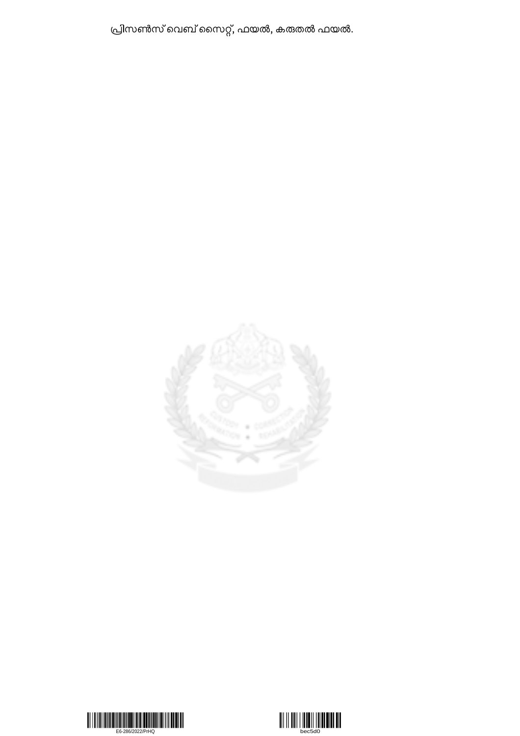പ്രിസൺസ് വെബ് സൈറ്റ്, ഫയൽ, കരുതൽ ഫയൽ.





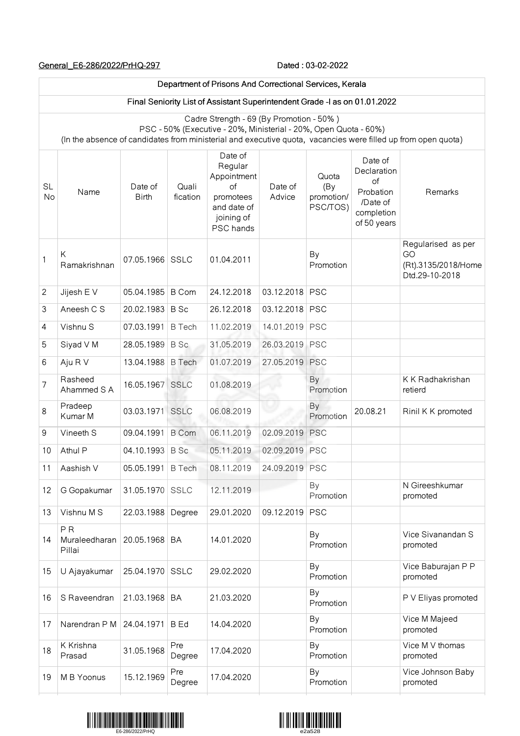## General\_E6-286/2022/PrHQ-297 2000 Dated : 03-02-2022

 $\overline{\Gamma}$ 

|                 | Department of Prisons And Correctional Services, Kerala                                                                                                                                                                       |                         |                   |                                                                                                |                   |                                        |                                                                                    |                                                                   |
|-----------------|-------------------------------------------------------------------------------------------------------------------------------------------------------------------------------------------------------------------------------|-------------------------|-------------------|------------------------------------------------------------------------------------------------|-------------------|----------------------------------------|------------------------------------------------------------------------------------|-------------------------------------------------------------------|
|                 | Final Seniority List of Assistant Superintendent Grade -I as on 01.01.2022                                                                                                                                                    |                         |                   |                                                                                                |                   |                                        |                                                                                    |                                                                   |
|                 | Cadre Strength - 69 (By Promotion - 50%)<br>PSC - 50% (Executive - 20%, Ministerial - 20%, Open Quota - 60%)<br>(In the absence of candidates from ministerial and executive quota, vacancies were filled up from open quota) |                         |                   |                                                                                                |                   |                                        |                                                                                    |                                                                   |
| <b>SL</b><br>No | Name                                                                                                                                                                                                                          | Date of<br><b>Birth</b> | Quali<br>fication | Date of<br>Regular<br>Appointment<br>of<br>promotees<br>and date of<br>joining of<br>PSC hands | Date of<br>Advice | Quota<br>(By<br>promotion/<br>PSC/TOS) | Date of<br>Declaration<br>of<br>Probation<br>/Date of<br>completion<br>of 50 years | Remarks                                                           |
| 1               | Κ<br>Ramakrishnan                                                                                                                                                                                                             | 07.05.1966 SSLC         |                   | 01.04.2011                                                                                     |                   | By<br>Promotion                        |                                                                                    | Regularised as per<br>GO<br>(Rt).3135/2018/Home<br>Dtd.29-10-2018 |
| $\mathbf{2}$    | Jijesh E V                                                                                                                                                                                                                    | 05.04.1985              | <b>B</b> Com      | 24.12.2018                                                                                     | 03.12.2018        | <b>PSC</b>                             |                                                                                    |                                                                   |
| 3               | Aneesh C S                                                                                                                                                                                                                    | 20.02.1983              | <b>B</b> Sc       | 26.12.2018                                                                                     | 03.12.2018        | <b>PSC</b>                             |                                                                                    |                                                                   |
| 4               | Vishnu S                                                                                                                                                                                                                      | 07.03.1991              | <b>B</b> Tech     | 11.02.2019                                                                                     | 14.01.2019        | <b>PSC</b>                             |                                                                                    |                                                                   |
| 5               | Siyad V M                                                                                                                                                                                                                     | 28.05.1989              | B Sc              | 31.05.2019                                                                                     | 26.03.2019        | PSC                                    |                                                                                    |                                                                   |
| 6               | Aju R V                                                                                                                                                                                                                       | 13.04.1988              | <b>B</b> Tech     | 01.07.2019                                                                                     | 27.05.2019        | <b>PSC</b>                             |                                                                                    |                                                                   |
| 7               | Rasheed<br>Ahammed S A                                                                                                                                                                                                        | 16.05.1967 SSLC         |                   | 01.08.2019                                                                                     |                   | By<br>Promotion                        |                                                                                    | K K Radhakrishan<br>retierd                                       |
| 8               | Pradeep<br>Kumar M                                                                                                                                                                                                            | 03.03.1971 SSLC         |                   | 06.08.2019                                                                                     |                   | By<br>Promotion                        | 20.08.21                                                                           | Rinil K K promoted                                                |
| 9               | Vineeth S                                                                                                                                                                                                                     | 09.04.1991              | <b>B</b> Com      | 06.11.2019                                                                                     | 02.09.2019        | <b>PSC</b>                             |                                                                                    |                                                                   |
| 10              | Athul P                                                                                                                                                                                                                       | 04.10.1993              | <b>B</b> Sc       | 05.11.2019                                                                                     | 02.09.2019        | <b>PSC</b>                             |                                                                                    |                                                                   |
| 11              | Aashish V                                                                                                                                                                                                                     | 05.05.1991              | <b>B</b> Tech     | 08.11.2019                                                                                     | 24.09.2019 PSC    |                                        |                                                                                    |                                                                   |
| 12              | G Gopakumar                                                                                                                                                                                                                   | 31.05.1970 SSLC         |                   | 12.11.2019                                                                                     |                   | By<br>Promotion                        |                                                                                    | N Gireeshkumar<br>promoted                                        |
| 13              | Vishnu M S                                                                                                                                                                                                                    | 22.03.1988              | Degree            | 29.01.2020                                                                                     | 09.12.2019        | <b>PSC</b>                             |                                                                                    |                                                                   |
| 14              | P <sub>R</sub><br>Muraleedharan<br>Pillai                                                                                                                                                                                     | 20.05.1968              | BA                | 14.01.2020                                                                                     |                   | By<br>Promotion                        |                                                                                    | Vice Sivanandan S<br>promoted                                     |
| 15              | U Ajayakumar                                                                                                                                                                                                                  | 25.04.1970              | SSLC              | 29.02.2020                                                                                     |                   | By<br>Promotion                        |                                                                                    | Vice Baburajan P P<br>promoted                                    |
| 16              | S Raveendran                                                                                                                                                                                                                  | 21.03.1968              | BA                | 21.03.2020                                                                                     |                   | By<br>Promotion                        |                                                                                    | P V Eliyas promoted                                               |
| 17              | Narendran P M                                                                                                                                                                                                                 | 24.04.1971              | <b>B</b> Ed       | 14.04.2020                                                                                     |                   | By<br>Promotion                        |                                                                                    | Vice M Majeed<br>promoted                                         |
| 18              | K Krishna<br>Prasad                                                                                                                                                                                                           | 31.05.1968              | Pre<br>Degree     | 17.04.2020                                                                                     |                   | By<br>Promotion                        |                                                                                    | Vice M V thomas<br>promoted                                       |
| 19              | M B Yoonus                                                                                                                                                                                                                    | 15.12.1969              | Pre<br>Degree     | 17.04.2020                                                                                     |                   | By<br>Promotion                        |                                                                                    | Vice Johnson Baby<br>promoted                                     |



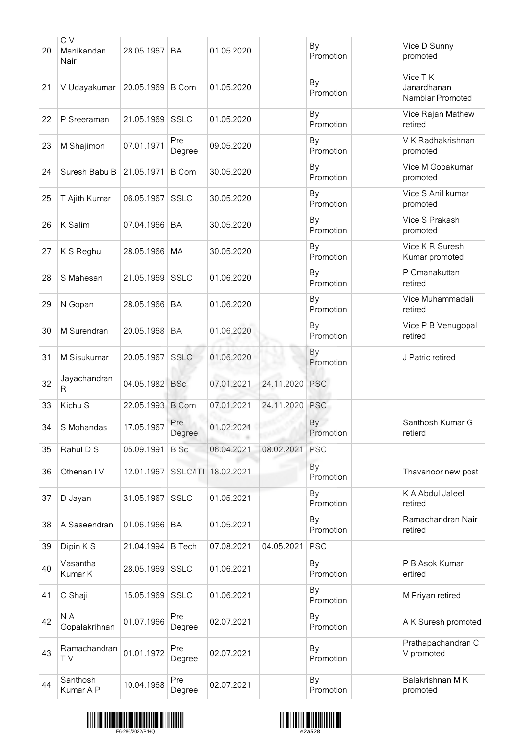| 20 | C V<br>Manikandan<br>Nair | 28.05.1967       | <b>BA</b>     | 01.05.2020 |            | By<br>Promotion        | Vice D Sunny<br>promoted                   |
|----|---------------------------|------------------|---------------|------------|------------|------------------------|--------------------------------------------|
| 21 | V Udayakumar              | 20.05.1969 B Com |               | 01.05.2020 |            | By<br>Promotion        | Vice TK<br>Janardhanan<br>Nambiar Promoted |
| 22 | P Sreeraman               | 21.05.1969       | <b>SSLC</b>   | 01.05.2020 |            | By<br>Promotion        | Vice Rajan Mathew<br>retired               |
| 23 | M Shajimon                | 07.01.1971       | Pre<br>Degree | 09.05.2020 |            | By<br>Promotion        | V K Radhakrishnan<br>promoted              |
| 24 | Suresh Babu B             | 21.05.1971       | <b>B</b> Com  | 30.05.2020 |            | By<br>Promotion        | Vice M Gopakumar<br>promoted               |
| 25 | T Ajith Kumar             | 06.05.1967       | <b>SSLC</b>   | 30.05.2020 |            | By<br>Promotion        | Vice S Anil kumar<br>promoted              |
| 26 | K Salim                   | 07.04.1966       | <b>BA</b>     | 30.05.2020 |            | By<br>Promotion        | Vice S Prakash<br>promoted                 |
| 27 | K S Reghu                 | 28.05.1966       | MA            | 30.05.2020 |            | By<br>Promotion        | Vice K R Suresh<br>Kumar promoted          |
| 28 | S Mahesan                 | 21.05.1969       | <b>SSLC</b>   | 01.06.2020 |            | By<br>Promotion        | P Omanakuttan<br>retired                   |
| 29 | N Gopan                   | 28.05.1966       | <b>BA</b>     | 01.06.2020 |            | By<br>Promotion        | Vice Muhammadali<br>retired                |
| 30 | M Surendran               | 20.05.1968       | <b>BA</b>     | 01.06.2020 |            | By<br>Promotion        | Vice P B Venugopal<br>retired              |
| 31 | M Sisukumar               | 20.05.1967       | <b>SSLC</b>   | 01.06.2020 |            | By<br>Promotion        | J Patric retired                           |
| 32 | Jayachandran<br>R         | 04.05.1982       | <b>BSc</b>    | 07.01.2021 | 24.11.2020 | <b>PSC</b>             |                                            |
| 33 | Kichu S                   | 22.05.1993 B Com |               | 07.01.2021 | 24.11.2020 | <b>PSC</b>             |                                            |
| 34 | S Mohandas                | 17.05.1967       | Pre<br>Degree | 01.02.2021 |            | <b>By</b><br>Promotion | Santhosh Kumar G<br>retierd                |
| 35 | Rahul D S                 | 05.09.1991       | <b>B</b> Sc   | 06.04.2021 | 08.02.2021 | <b>PSC</b>             |                                            |
| 36 | Othenan IV                | 12.01.1967       | SSLC/ITI      | 18.02.2021 |            | By<br>Promotion        | Thavanoor new post                         |
| 37 | D Jayan                   | 31.05.1967       | <b>SSLC</b>   | 01.05.2021 |            | By<br>Promotion        | K A Abdul Jaleel<br>retired                |
| 38 | A Saseendran              | 01.06.1966       | <b>BA</b>     | 01.05.2021 |            | By<br>Promotion        | Ramachandran Nair<br>retired               |
| 39 | Dipin K S                 | 21.04.1994       | <b>B</b> Tech | 07.08.2021 | 04.05.2021 | <b>PSC</b>             |                                            |
| 40 | Vasantha<br>Kumar K       | 28.05.1969       | <b>SSLC</b>   | 01.06.2021 |            | By<br>Promotion        | P B Asok Kumar<br>ertired                  |
| 41 | C Shaji                   | 15.05.1969       | <b>SSLC</b>   | 01.06.2021 |            | By<br>Promotion        | M Priyan retired                           |
| 42 | N A<br>Gopalakrihnan      | 01.07.1966       | Pre<br>Degree | 02.07.2021 |            | By<br>Promotion        | A K Suresh promoted                        |
| 43 | Ramachandran<br>T V       | 01.01.1972       | Pre<br>Degree | 02.07.2021 |            | By<br>Promotion        | Prathapachandran C<br>V promoted           |
| 44 | Santhosh<br>Kumar A P     | 10.04.1968       | Pre<br>Degree | 02.07.2021 |            | By<br>Promotion        | Balakrishnan MK<br>promoted                |